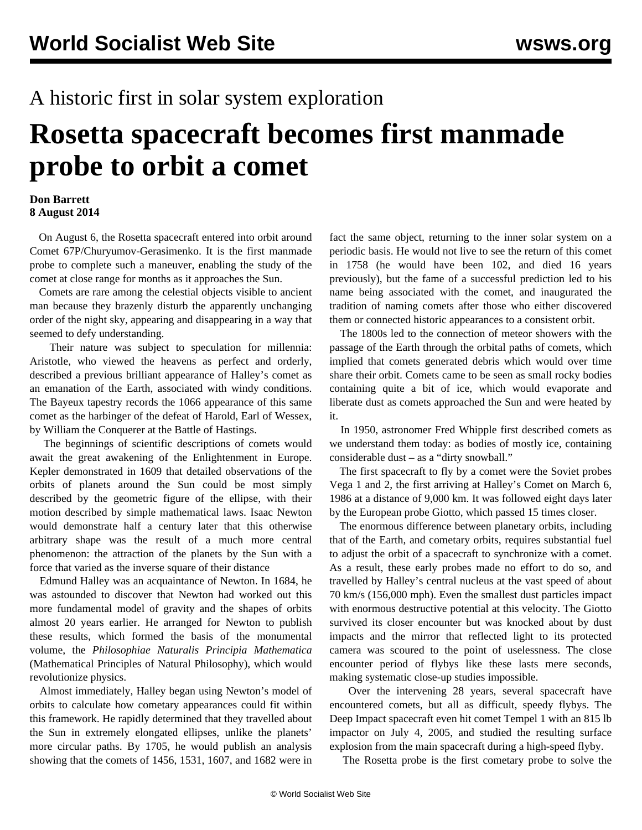## A historic first in solar system exploration

## **Rosetta spacecraft becomes first manmade probe to orbit a comet**

## **Don Barrett 8 August 2014**

 On August 6, the Rosetta spacecraft entered into orbit around Comet 67P/Churyumov-Gerasimenko. It is the first manmade probe to complete such a maneuver, enabling the study of the comet at close range for months as it approaches the Sun.

 Comets are rare among the celestial objects visible to ancient man because they brazenly disturb the apparently unchanging order of the night sky, appearing and disappearing in a way that seemed to defy understanding.

 Their nature was subject to speculation for millennia: Aristotle, who viewed the heavens as perfect and orderly, described a previous brilliant appearance of Halley's comet as an emanation of the Earth, associated with windy conditions. The Bayeux tapestry records the 1066 appearance of this same comet as the harbinger of the defeat of Harold, Earl of Wessex, by William the Conquerer at the Battle of Hastings.

 The beginnings of scientific descriptions of comets would await the great awakening of the Enlightenment in Europe. Kepler demonstrated in 1609 that detailed observations of the orbits of planets around the Sun could be most simply described by the geometric figure of the ellipse, with their motion described by simple mathematical laws. Isaac Newton would demonstrate half a century later that this otherwise arbitrary shape was the result of a much more central phenomenon: the attraction of the planets by the Sun with a force that varied as the inverse square of their distance

 Edmund Halley was an acquaintance of Newton. In 1684, he was astounded to discover that Newton had worked out this more fundamental model of gravity and the shapes of orbits almost 20 years earlier. He arranged for Newton to publish these results, which formed the basis of the monumental volume, the *Philosophiae Naturalis Principia Mathematica* (Mathematical Principles of Natural Philosophy), which would revolutionize physics.

 Almost immediately, Halley began using Newton's model of orbits to calculate how cometary appearances could fit within this framework. He rapidly determined that they travelled about the Sun in extremely elongated ellipses, unlike the planets' more circular paths. By 1705, he would publish an analysis showing that the comets of 1456, 1531, 1607, and 1682 were in

fact the same object, returning to the inner solar system on a periodic basis. He would not live to see the return of this comet in 1758 (he would have been 102, and died 16 years previously), but the fame of a successful prediction led to his name being associated with the comet, and inaugurated the tradition of naming comets after those who either discovered them or connected historic appearances to a consistent orbit.

 The 1800s led to the connection of meteor showers with the passage of the Earth through the orbital paths of comets, which implied that comets generated debris which would over time share their orbit. Comets came to be seen as small rocky bodies containing quite a bit of ice, which would evaporate and liberate dust as comets approached the Sun and were heated by it.

 In 1950, astronomer Fred Whipple first described comets as we understand them today: as bodies of mostly ice, containing considerable dust – as a "dirty snowball."

 The first spacecraft to fly by a comet were the Soviet probes Vega 1 and 2, the first arriving at Halley's Comet on March 6, 1986 at a distance of 9,000 km. It was followed eight days later by the European probe Giotto, which passed 15 times closer.

 The enormous difference between planetary orbits, including that of the Earth, and cometary orbits, requires substantial fuel to adjust the orbit of a spacecraft to synchronize with a comet. As a result, these early probes made no effort to do so, and travelled by Halley's central nucleus at the vast speed of about 70 km/s (156,000 mph). Even the smallest dust particles impact with enormous destructive potential at this velocity. The Giotto survived its closer encounter but was knocked about by dust impacts and the mirror that reflected light to its protected camera was scoured to the point of uselessness. The close encounter period of flybys like these lasts mere seconds, making systematic close-up studies impossible.

 Over the intervening 28 years, several spacecraft have encountered comets, but all as difficult, speedy flybys. The Deep Impact spacecraft even hit comet Tempel 1 with an 815 lb impactor on July 4, 2005, and studied the resulting surface explosion from the main spacecraft during a high-speed flyby.

The Rosetta probe is the first cometary probe to solve the